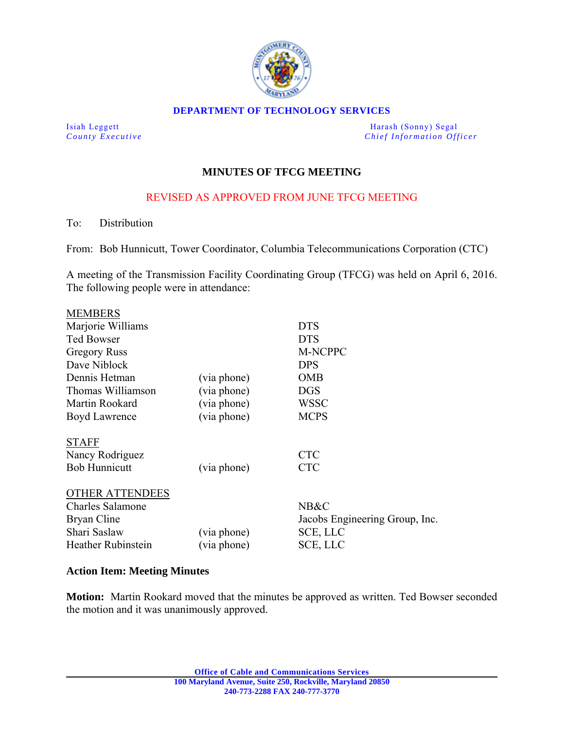

#### **DEPARTMENT OF TECHNOLOGY SERVICES**

Isiah Leggett Harash (Sonny) Segal *County Executive* **County**  $\overline{C}$  *Chief Information Officer* 

# **MINUTES OF TFCG MEETING**

# REVISED AS APPROVED FROM JUNE TFCG MEETING

To: Distribution

From: Bob Hunnicutt, Tower Coordinator, Columbia Telecommunications Corporation (CTC)

A meeting of the Transmission Facility Coordinating Group (TFCG) was held on April 6, 2016. The following people were in attendance:

| <b>MEMBERS</b>                                                                                         |                            |                                                                |
|--------------------------------------------------------------------------------------------------------|----------------------------|----------------------------------------------------------------|
| Marjorie Williams                                                                                      |                            | <b>DTS</b>                                                     |
| <b>Ted Bowser</b>                                                                                      |                            | <b>DTS</b>                                                     |
| <b>Gregory Russ</b>                                                                                    |                            | M-NCPPC                                                        |
| Dave Niblock                                                                                           |                            | <b>DPS</b>                                                     |
| Dennis Hetman                                                                                          | (via phone)                | <b>OMB</b>                                                     |
| Thomas Williamson                                                                                      | (via phone)                | <b>DGS</b>                                                     |
| Martin Rookard                                                                                         | (via phone)                | <b>WSSC</b>                                                    |
| Boyd Lawrence                                                                                          | (via phone)                | <b>MCPS</b>                                                    |
| <b>STAFF</b><br>Nancy Rodriguez<br><b>Bob Hunnicutt</b>                                                | (via phone)                | <b>CTC</b><br><b>CTC</b>                                       |
| <b>OTHER ATTENDEES</b><br><b>Charles Salamone</b><br>Bryan Cline<br>Shari Saslaw<br>Heather Rubinstein | (via phone)<br>(via phone) | NB&C<br>Jacobs Engineering Group, Inc.<br>SCE, LLC<br>SCE, LLC |

### **Action Item: Meeting Minutes**

**Motion:** Martin Rookard moved that the minutes be approved as written. Ted Bowser seconded the motion and it was unanimously approved.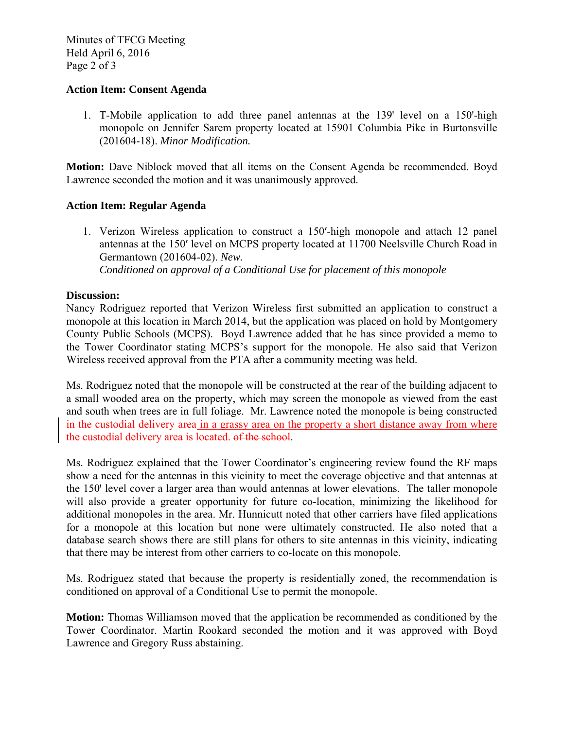Minutes of TFCG Meeting Held April 6, 2016 Page 2 of 3

### **Action Item: Consent Agenda**

1. T-Mobile application to add three panel antennas at the 139' level on a 150'-high monopole on Jennifer Sarem property located at 15901 Columbia Pike in Burtonsville (201604-18). *Minor Modification.*

**Motion:** Dave Niblock moved that all items on the Consent Agenda be recommended. Boyd Lawrence seconded the motion and it was unanimously approved.

### **Action Item: Regular Agenda**

1. Verizon Wireless application to construct a 150ʹ-high monopole and attach 12 panel antennas at the 150ʹ level on MCPS property located at 11700 Neelsville Church Road in Germantown (201604-02). *New. Conditioned on approval of a Conditional Use for placement of this monopole* 

### **Discussion:**

Nancy Rodriguez reported that Verizon Wireless first submitted an application to construct a monopole at this location in March 2014, but the application was placed on hold by Montgomery County Public Schools (MCPS). Boyd Lawrence added that he has since provided a memo to the Tower Coordinator stating MCPS's support for the monopole. He also said that Verizon Wireless received approval from the PTA after a community meeting was held.

Ms. Rodriguez noted that the monopole will be constructed at the rear of the building adjacent to a small wooded area on the property, which may screen the monopole as viewed from the east and south when trees are in full foliage. Mr. Lawrence noted the monopole is being constructed in the custodial delivery area in a grassy area on the property a short distance away from where the custodial delivery area is located. of the school.

Ms. Rodriguez explained that the Tower Coordinator's engineering review found the RF maps show a need for the antennas in this vicinity to meet the coverage objective and that antennas at the 150' level cover a larger area than would antennas at lower elevations. The taller monopole will also provide a greater opportunity for future co-location, minimizing the likelihood for additional monopoles in the area. Mr. Hunnicutt noted that other carriers have filed applications for a monopole at this location but none were ultimately constructed. He also noted that a database search shows there are still plans for others to site antennas in this vicinity, indicating that there may be interest from other carriers to co-locate on this monopole.

Ms. Rodriguez stated that because the property is residentially zoned, the recommendation is conditioned on approval of a Conditional Use to permit the monopole.

**Motion:** Thomas Williamson moved that the application be recommended as conditioned by the Tower Coordinator. Martin Rookard seconded the motion and it was approved with Boyd Lawrence and Gregory Russ abstaining.